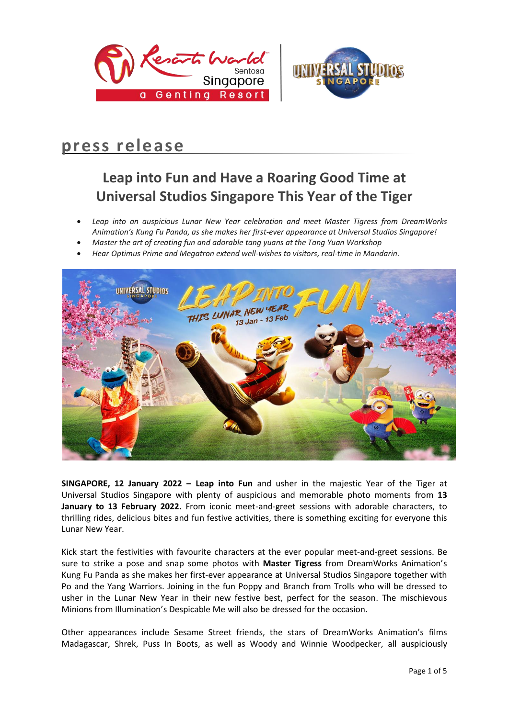



# **press release**

# **Leap into Fun and Have a Roaring Good Time at Universal Studios Singapore This Year of the Tiger**

- *Leap into an auspicious Lunar New Year celebration and meet Master Tigress from DreamWorks Animation's Kung Fu Panda, as she makes her first-ever appearance at Universal Studios Singapore!*
- *Master the art of creating fun and adorable tang yuans at the Tang Yuan Workshop*
- *Hear Optimus Prime and Megatron extend well-wishes to visitors, real-time in Mandarin.*



**SINGAPORE, 12 January 2022 – Leap into Fun** and usher in the majestic Year of the Tiger at Universal Studios Singapore with plenty of auspicious and memorable photo moments from **13 January to 13 February 2022.** From iconic meet-and-greet sessions with adorable characters, to thrilling rides, delicious bites and fun festive activities, there is something exciting for everyone this Lunar New Year.

Kick start the festivities with favourite characters at the ever popular meet-and-greet sessions. Be sure to strike a pose and snap some photos with **Master Tigress** from DreamWorks Animation's Kung Fu Panda as she makes her first-ever appearance at Universal Studios Singapore together with Po and the Yang Warriors. Joining in the fun Poppy and Branch from Trolls who will be dressed to usher in the Lunar New Year in their new festive best, perfect for the season. The mischievous Minions from Illumination's Despicable Me will also be dressed for the occasion.

Other appearances include Sesame Street friends, the stars of DreamWorks Animation's films Madagascar, Shrek, Puss In Boots, as well as Woody and Winnie Woodpecker, all auspiciously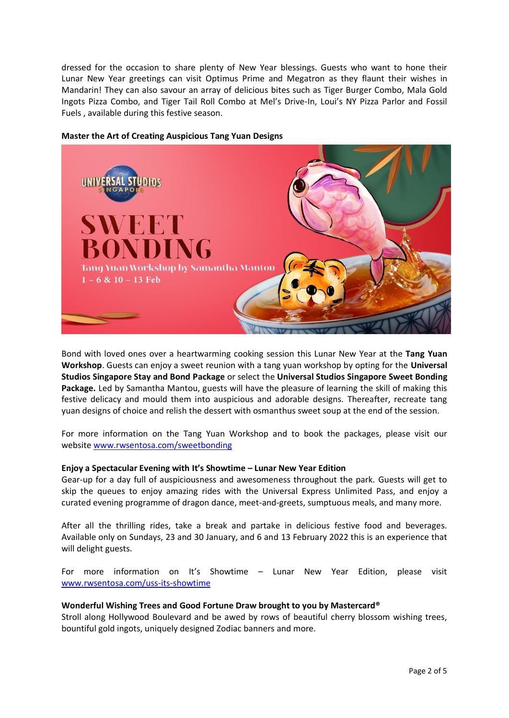dressed for the occasion to share plenty of New Year blessings. Guests who want to hone their Lunar New Year greetings can visit Optimus Prime and Megatron as they flaunt their wishes in Mandarin! They can also savour an array of delicious bites such as Tiger Burger Combo, Mala Gold Ingots Pizza Combo, and Tiger Tail Roll Combo at Mel's Drive-In, Loui's NY Pizza Parlor and Fossil Fuels , available during this festive season.



### **Master the Art of Creating Auspicious Tang Yuan Designs**

Bond with loved ones over a heartwarming cooking session this Lunar New Year at the **Tang Yuan Workshop**. Guests can enjoy a sweet reunion with a tang yuan workshop by opting for the **Universal Studios Singapore Stay and Bond Package** or select the **Universal Studios Singapore Sweet Bonding Package.** Led by Samantha Mantou, guests will have the pleasure of learning the skill of making this festive delicacy and mould them into auspicious and adorable designs. Thereafter, recreate tang yuan designs of choice and relish the dessert with osmanthus sweet soup at the end of the session.

For more information on the Tang Yuan Workshop and to book the packages, please visit our website [www.rwsentosa.com/sweetbonding](http://www.rwsentosa.com/sweetbonding)

#### **Enjoy a Spectacular Evening with It's Showtime – Lunar New Year Edition**

Gear-up for a day full of auspiciousness and awesomeness throughout the park. Guests will get to skip the queues to enjoy amazing rides with the Universal Express Unlimited Pass, and enjoy a curated evening programme of dragon dance, meet-and-greets, sumptuous meals, and many more.

After all the thrilling rides, take a break and partake in delicious festive food and beverages. Available only on Sundays, 23 and 30 January, and 6 and 13 February 2022 this is an experience that will delight guests.

For more information on It's Showtime – Lunar New Year Edition, please visit [www.rwsentosa.com/uss-its-showtime](http://www.rwsentosa.com/uss-its-showtime) 

## **Wonderful Wishing Trees and Good Fortune Draw brought to you by Mastercard®**

Stroll along Hollywood Boulevard and be awed by rows of beautiful cherry blossom wishing trees, bountiful gold ingots, uniquely designed Zodiac banners and more.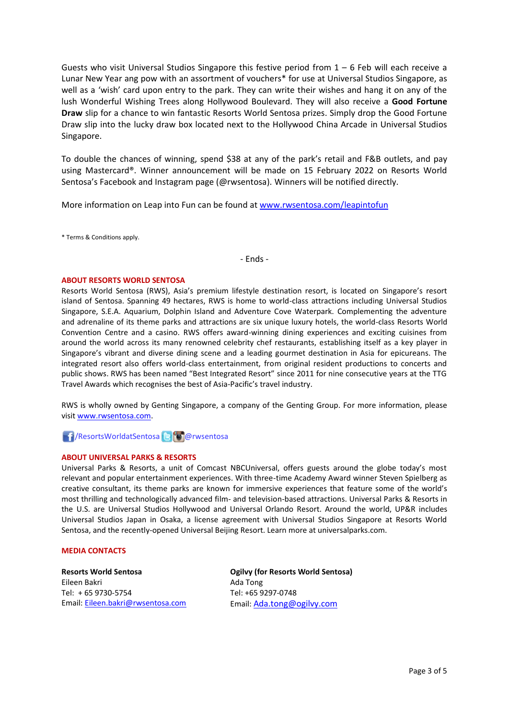Guests who visit Universal Studios Singapore this festive period from  $1 - 6$  Feb will each receive a Lunar New Year ang pow with an assortment of vouchers\* for use at Universal Studios Singapore, as well as a 'wish' card upon entry to the park. They can write their wishes and hang it on any of the lush Wonderful Wishing Trees along Hollywood Boulevard. They will also receive a **Good Fortune Draw** slip for a chance to win fantastic Resorts World Sentosa prizes. Simply drop the Good Fortune Draw slip into the lucky draw box located next to the Hollywood China Arcade in Universal Studios Singapore.

To double the chances of winning, spend \$38 at any of the park's retail and F&B outlets, and pay using Mastercard®. Winner announcement will be made on 15 February 2022 on Resorts World Sentosa's Facebook and Instagram page (@rwsentosa). Winners will be notified directly.

More information on Leap into Fun can be found at [www.rwsentosa.com/leapintofun](http://www.rwsentosa.com/leapintofun)

\* Terms & Conditions apply.

- Ends -

#### **ABOUT RESORTS WORLD SENTOSA**

Resorts World Sentosa (RWS), Asia's premium lifestyle destination resort, is located on Singapore's resort island of Sentosa. Spanning 49 hectares, RWS is home to world-class attractions including Universal Studios Singapore, S.E.A. Aquarium, Dolphin Island and Adventure Cove Waterpark. Complementing the adventure and adrenaline of its theme parks and attractions are six unique luxury hotels, the world-class Resorts World Convention Centre and a casino. RWS offers award-winning dining experiences and exciting cuisines from around the world across its many renowned celebrity chef restaurants, establishing itself as a key player in Singapore's vibrant and diverse dining scene and a leading gourmet destination in Asia for epicureans. The integrated resort also offers world-class entertainment, from original resident productions to concerts and public shows. RWS has been named "Best Integrated Resort" since 2011 for nine consecutive years at the TTG Travel Awards which recognises the best of Asia-Pacific's travel industry.

RWS is wholly owned by Genting Singapore, a company of the Genting Group. For more information, please visi[t www.rwsentosa.com.](http://www.rwsentosa.com/)

## **F** /ResortsWorldatSentosa **B C** @rwsentosa

#### **ABOUT UNIVERSAL PARKS & RESORTS**

Universal Parks & Resorts, a unit of Comcast NBCUniversal, offers guests around the globe today's most relevant and popular entertainment experiences. With three-time Academy Award winner Steven Spielberg as creative consultant, its theme parks are known for immersive experiences that feature some of the world's most thrilling and technologically advanced film- and television-based attractions. Universal Parks & Resorts in the U.S. are Universal Studios Hollywood and Universal Orlando Resort. Around the world, UP&R includes Universal Studios Japan in Osaka, a license agreement with Universal Studios Singapore at Resorts World Sentosa, and the recently-opened Universal Beijing Resort. Learn more at universalparks.com.

#### **MEDIA CONTACTS**

**Resorts World Sentosa** Eileen Bakri Tel: + 65 9730-5754 Email: [Eileen.bakri@rwsentosa.com](mailto:Eileen.bakri@rwsentosa.com)

**Ogilvy (for Resorts World Sentosa)** Ada Tong Tel: +65 9297-0748 Email: [Ada.tong@ogilvy.com](mailto:Ada.tong@ogilvy.com)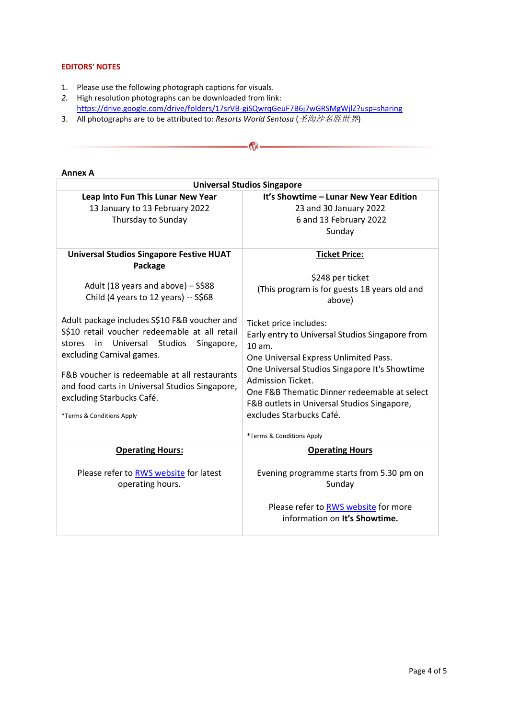### **EDITORS' NOTES**

- 1. Please use the following photograph captions for visuals.
- *2.* High resolution photographs can be downloaded from link: <https://drive.google.com/drive/folders/17srVB-giSQwrqGeuF7B6j7wGRSMgWjlZ?usp=sharing>

 $\bigcirc$ 

3. All photographs are to be attributed to: *Resorts World Sentosa* (圣淘沙名胜世界)

| AIIIKA A                                        |                                                 |
|-------------------------------------------------|-------------------------------------------------|
| <b>Universal Studios Singapore</b>              |                                                 |
| Leap Into Fun This Lunar New Year               | It's Showtime - Lunar New Year Edition          |
| 13 January to 13 February 2022                  | 23 and 30 January 2022                          |
| Thursday to Sunday                              | 6 and 13 February 2022                          |
|                                                 | Sunday                                          |
|                                                 |                                                 |
| <b>Universal Studios Singapore Festive HUAT</b> | <b>Ticket Price:</b>                            |
| Package                                         |                                                 |
|                                                 | \$248 per ticket                                |
| Adult (18 years and above) - S\$88              | (This program is for guests 18 years old and    |
| Child (4 years to 12 years) -- S\$68            | above)                                          |
|                                                 |                                                 |
| Adult package includes S\$10 F&B voucher and    | Ticket price includes:                          |
| S\$10 retail voucher redeemable at all retail   |                                                 |
| Universal Studios<br>stores<br>in<br>Singapore, | Early entry to Universal Studios Singapore from |
| excluding Carnival games.                       | 10 am.                                          |
|                                                 | One Universal Express Unlimited Pass.           |
| F&B voucher is redeemable at all restaurants    | One Universal Studios Singapore It's Showtime   |
| and food carts in Universal Studios Singapore,  | Admission Ticket.                               |
| excluding Starbucks Café.                       | One F&B Thematic Dinner redeemable at select    |
|                                                 | F&B outlets in Universal Studios Singapore,     |
| *Terms & Conditions Apply                       | excludes Starbucks Café.                        |
|                                                 |                                                 |
|                                                 | *Terms & Conditions Apply                       |
| <b>Operating Hours:</b>                         | <b>Operating Hours</b>                          |
|                                                 |                                                 |
| Please refer to <b>RWS</b> website for latest   | Evening programme starts from 5.30 pm on        |
| operating hours.                                | Sunday                                          |
|                                                 |                                                 |
|                                                 | Please refer to RWS website for more            |
|                                                 | information on It's Showtime.                   |
|                                                 |                                                 |